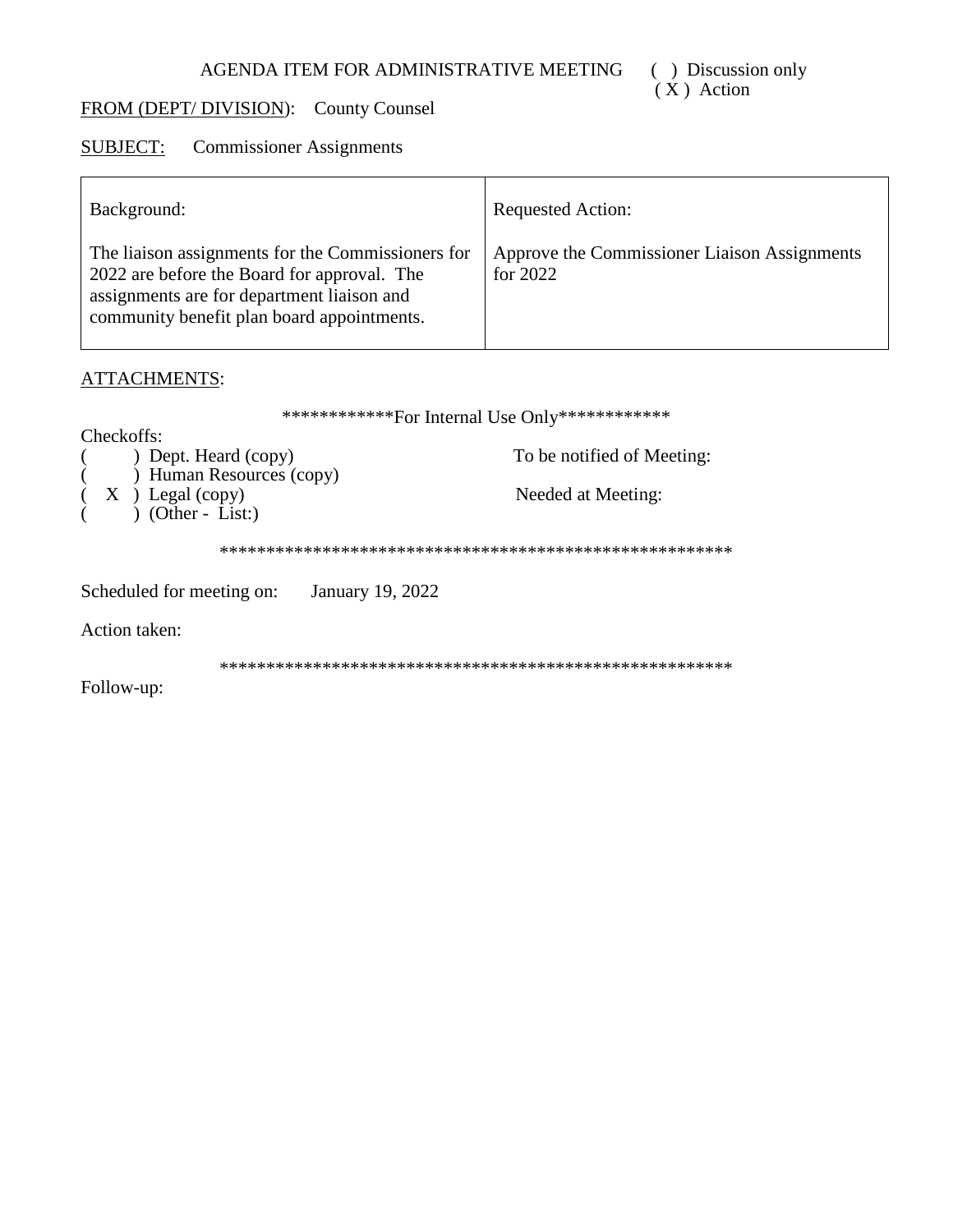# FROM (DEPT/DIVISION): County Counsel

#### **Commissioner Assignments SUBJECT:**

| Background:                                                                                                                                                                                  | <b>Requested Action:</b>                                   |
|----------------------------------------------------------------------------------------------------------------------------------------------------------------------------------------------|------------------------------------------------------------|
| The liaison assignments for the Commissioners for<br>2022 are before the Board for approval. The<br>assignments are for department liaison and<br>community benefit plan board appointments. | Approve the Commissioner Liaison Assignments<br>for $2022$ |

## **ATTACHMENTS:**

|                                               | *************For Internal Use Only************* |
|-----------------------------------------------|-------------------------------------------------|
| Checkoffs:                                    |                                                 |
| ) Dept. Heard (copy)                          | To be notified of Meeting:                      |
| ) Human Resources (copy)                      |                                                 |
| $(X)$ Legal (copy)                            | Needed at Meeting:                              |
| $(Other - List.)$                             |                                                 |
|                                               |                                                 |
| January 19, 2022<br>Scheduled for meeting on: |                                                 |
| <b>Action taken:</b>                          |                                                 |
|                                               |                                                 |
| Follow-up:                                    |                                                 |